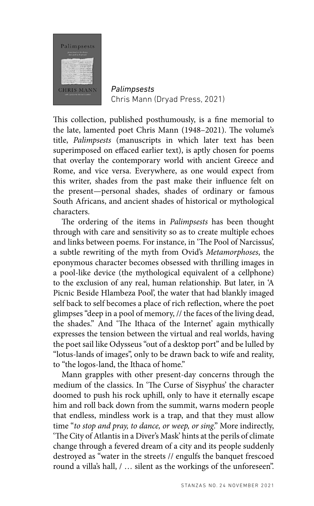

*Palimpsests* Chris Mann (Dryad Press, 2021)

This collection, published posthumously, is a fine memorial to the late, lamented poet Chris Mann (1948–2021). The volume's title, *Palimpsests* (manuscripts in which later text has been superimposed on effaced earlier text), is aptly chosen for poems that overlay the contemporary world with ancient Greece and Rome, and vice versa. Everywhere, as one would expect from this writer, shades from the past make their influence felt on the present—personal shades, shades of ordinary or famous South Africans, and ancient shades of historical or mythological characters.

The ordering of the items in *Palimpsests* has been thought through with care and sensitivity so as to create multiple echoes and links between poems. For instance, in 'The Pool of Narcissus', a subtle rewriting of the myth from Ovid's *Metamorphoses*, the eponymous character becomes obsessed with thrilling images in a pool-like device (the mythological equivalent of a cellphone) to the exclusion of any real, human relationship. But later, in 'A Picnic Beside Hlambeza Pool', the water that had blankly imaged self back to self becomes a place of rich reflection, where the poet glimpses "deep in a pool of memory, // the faces of the living dead, the shades." And 'The Ithaca of the Internet' again mythically expresses the tension between the virtual and real worlds, having the poet sail like Odysseus "out of a desktop port" and be lulled by "lotus-lands of images", only to be drawn back to wife and reality, to "the logos-land, the Ithaca of home."

Mann grapples with other present-day concerns through the medium of the classics. In 'The Curse of Sisyphus' the character doomed to push his rock uphill, only to have it eternally escape him and roll back down from the summit, warns modern people that endless, mindless work is a trap, and that they must allow time "*to stop and pray, to dance, or weep, or sing*." More indirectly, 'The City of Atlantis in a Diver's Mask' hints at the perils of climate change through a fevered dream of a city and its people suddenly destroyed as "water in the streets // engulfs the banquet frescoed round a villa's hall, / … silent as the workings of the unforeseen".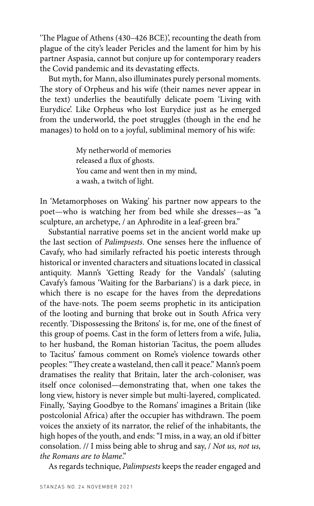'The Plague of Athens (430–426 BCE)', recounting the death from plague of the city's leader Pericles and the lament for him by his partner Aspasia, cannot but conjure up for contemporary readers the Covid pandemic and its devastating effects.

But myth, for Mann, also illuminates purely personal moments. The story of Orpheus and his wife (their names never appear in the text) underlies the beautifully delicate poem 'Living with Eurydice'. Like Orpheus who lost Eurydice just as he emerged from the underworld, the poet struggles (though in the end he manages) to hold on to a joyful, subliminal memory of his wife:

> My netherworld of memories released a flux of ghosts. You came and went then in my mind, a wash, a twitch of light.

In 'Metamorphoses on Waking' his partner now appears to the poet—who is watching her from bed while she dresses—as "a sculpture, an archetype, / an Aphrodite in a leaf-green bra."

Substantial narrative poems set in the ancient world make up the last section of *Palimpsests*. One senses here the influence of Cavafy, who had similarly refracted his poetic interests through historical or invented characters and situations located in classical antiquity. Mann's 'Getting Ready for the Vandals' (saluting Cavafy's famous 'Waiting for the Barbarians') is a dark piece, in which there is no escape for the haves from the depredations of the have-nots. The poem seems prophetic in its anticipation of the looting and burning that broke out in South Africa very recently. 'Dispossessing the Britons' is, for me, one of the finest of this group of poems. Cast in the form of letters from a wife, Julia, to her husband, the Roman historian Tacitus, the poem alludes to Tacitus' famous comment on Rome's violence towards other peoples: "They create a wasteland, then call it peace." Mann's poem dramatises the reality that Britain, later the arch-coloniser, was itself once colonised—demonstrating that, when one takes the long view, history is never simple but multi-layered, complicated. Finally, 'Saying Goodbye to the Romans' imagines a Britain (like postcolonial Africa) after the occupier has withdrawn. The poem voices the anxiety of its narrator, the relief of the inhabitants, the high hopes of the youth, and ends: "I miss, in a way, an old if bitter consolation. // I miss being able to shrug and say, / *Not us, not us, the Romans are to blame*."

As regards technique, *Palimpsests* keeps the reader engaged and